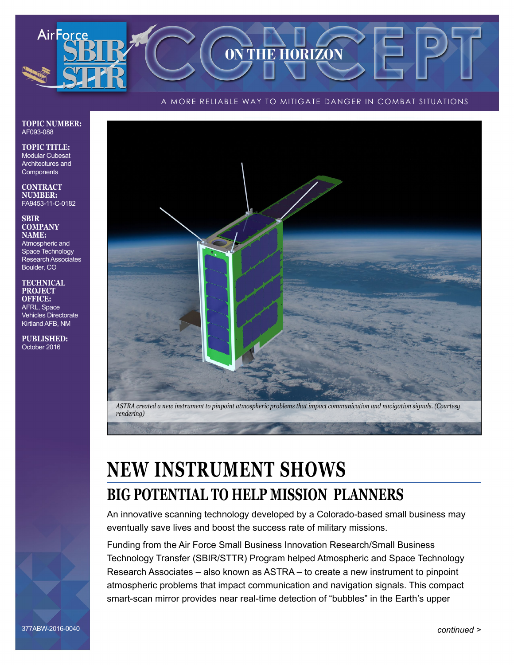## A MORE RELIABLE WAY TO MITIGATE DANGER IN COMBAT SITUATIONS

**ON THE HORIZON** 

### **TOPIC NUMBER:** AF093-088

AirForce

**TOPIC TITLE:** Modular Cubesat Architectures and **Components** 

#### **CONTRACT NUMBER:** FA9453-11-C-0182

**SBIR COMPANY NAME:** Atmospheric and Space Technology Research Associates Boulder, CO

#### **TECHNICAL PROJECT OFFICE:** AFRL, Space Vehicles Directorate Kirtland AFB, NM

**PUBLISHED:** October 2016



# **NEW INSTRUMENT SHOWS BIG POTENTIAL TO HELP MISSION PLANNERS**

An innovative scanning technology developed by a Colorado-based small business may eventually save lives and boost the success rate of military missions.

Funding from the Air Force Small Business Innovation Research/Small Business Technology Transfer (SBIR/STTR) Program helped Atmospheric and Space Technology Research Associates – also known as ASTRA – to create a new instrument to pinpoint atmospheric problems that impact communication and navigation signals. This compact smart-scan mirror provides near real-time detection of "bubbles" in the Earth's upper